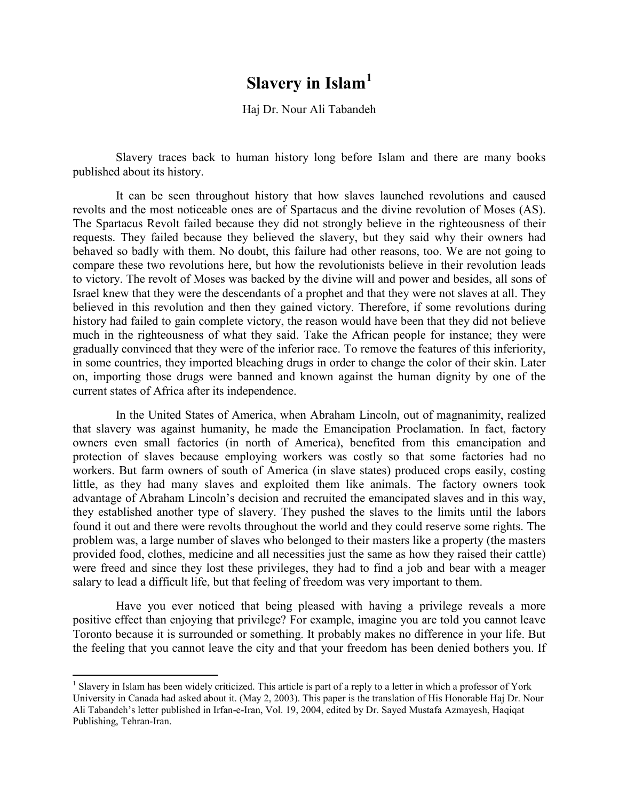## **Slavery in Islam[1](#page-0-0)**

Haj Dr. Nour Ali Tabandeh

Slavery traces back to human history long before Islam and there are many books published about its history.

It can be seen throughout history that how slaves launched revolutions and caused revolts and the most noticeable ones are of Spartacus and the divine revolution of Moses (AS). The Spartacus Revolt failed because they did not strongly believe in the righteousness of their requests. They failed because they believed the slavery, but they said why their owners had behaved so badly with them. No doubt, this failure had other reasons, too. We are not going to compare these two revolutions here, but how the revolutionists believe in their revolution leads to victory. The revolt of Moses was backed by the divine will and power and besides, all sons of Israel knew that they were the descendants of a prophet and that they were not slaves at all. They believed in this revolution and then they gained victory. Therefore, if some revolutions during history had failed to gain complete victory, the reason would have been that they did not believe much in the righteousness of what they said. Take the African people for instance; they were gradually convinced that they were of the inferior race. To remove the features of this inferiority, in some countries, they imported bleaching drugs in order to change the color of their skin. Later on, importing those drugs were banned and known against the human dignity by one of the current states of Africa after its independence.

In the United States of America, when Abraham Lincoln, out of magnanimity, realized that slavery was against humanity, he made the Emancipation Proclamation. In fact, factory owners even small factories (in north of America), benefited from this emancipation and protection of slaves because employing workers was costly so that some factories had no workers. But farm owners of south of America (in slave states) produced crops easily, costing little, as they had many slaves and exploited them like animals. The factory owners took advantage of Abraham Lincoln's decision and recruited the emancipated slaves and in this way, they established another type of slavery. They pushed the slaves to the limits until the labors found it out and there were revolts throughout the world and they could reserve some rights. The problem was, a large number of slaves who belonged to their masters like a property (the masters provided food, clothes, medicine and all necessities just the same as how they raised their cattle) were freed and since they lost these privileges, they had to find a job and bear with a meager salary to lead a difficult life, but that feeling of freedom was very important to them.

Have you ever noticed that being pleased with having a privilege reveals a more positive effect than enjoying that privilege? For example, imagine you are told you cannot leave Toronto because it is surrounded or something. It probably makes no difference in your life. But the feeling that you cannot leave the city and that your freedom has been denied bothers you. If

<span id="page-0-0"></span><sup>&</sup>lt;sup>1</sup> Slavery in Islam has been widely criticized. This article is part of a reply to a letter in which a professor of York University in Canada had asked about it. (May 2, 2003). This paper is the translation of His Honorable Haj Dr. Nour Ali Tabandeh's letter published in Irfan-e-Iran, Vol. 19, 2004, edited by Dr. Sayed Mustafa Azmayesh, Haqiqat Publishing, Tehran-Iran.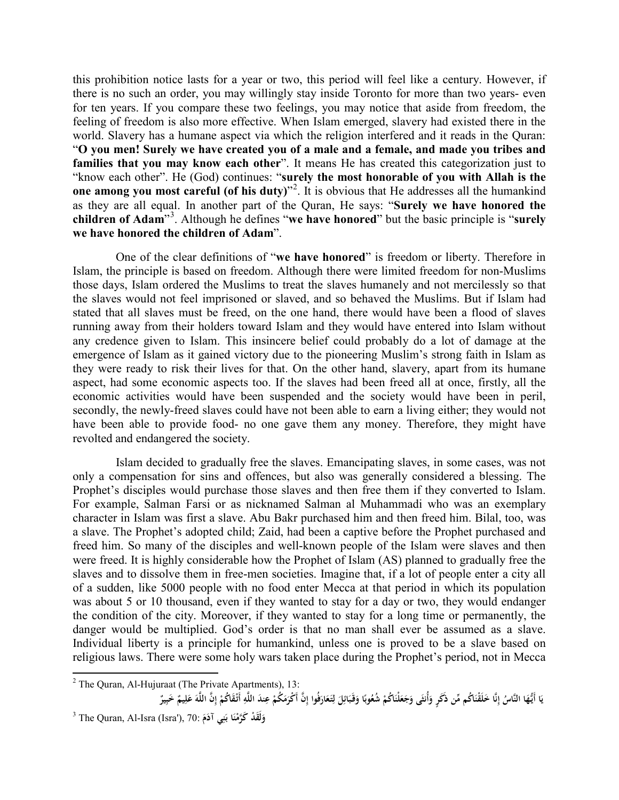this prohibition notice lasts for a year or two, this period will feel like a century. However, if there is no such an order, you may willingly stay inside Toronto for more than two years- even for ten years. If you compare these two feelings, you may notice that aside from freedom, the feeling of freedom is also more effective. When Islam emerged, slavery had existed there in the world. Slavery has a humane aspect via which the religion interfered and it reads in the Quran: "**O you men! Surely we have created you of a male and a female, and made you tribes and families that you may know each other**". It means He has created this categorization just to "know each other". He (God) continues: "**surely the most honorable of you with Allah is the one among you most careful (of his duty)**<sup>[2](#page-1-0)</sup>. It is obvious that He addresses all the humankind as they are all equal. In another part of the Quran, He says: "**Surely we have honored the children of Adam**"[3](#page-1-1) . Although he defines "**we have honored**" but the basic principle is "**surely we have honored the children of Adam**".

One of the clear definitions of "**we have honored**" is freedom or liberty. Therefore in Islam, the principle is based on freedom. Although there were limited freedom for non-Muslims those days, Islam ordered the Muslims to treat the slaves humanely and not mercilessly so that the slaves would not feel imprisoned or slaved, and so behaved the Muslims. But if Islam had stated that all slaves must be freed, on the one hand, there would have been a flood of slaves running away from their holders toward Islam and they would have entered into Islam without any credence given to Islam. This insincere belief could probably do a lot of damage at the emergence of Islam as it gained victory due to the pioneering Muslim's strong faith in Islam as they were ready to risk their lives for that. On the other hand, slavery, apart from its humane aspect, had some economic aspects too. If the slaves had been freed all at once, firstly, all the economic activities would have been suspended and the society would have been in peril, secondly, the newly-freed slaves could have not been able to earn a living either; they would not have been able to provide food- no one gave them any money. Therefore, they might have revolted and endangered the society.

Islam decided to gradually free the slaves. Emancipating slaves, in some cases, was not only a compensation for sins and offences, but also was generally considered a blessing. The Prophet's disciples would purchase those slaves and then free them if they converted to Islam. For example, Salman Farsi or as nicknamed Salman al Muhammadi who was an exemplary character in Islam was first a slave. Abu Bakr purchased him and then freed him. Bilal, too, was a slave. The Prophet's adopted child; Zaid, had been a captive before the Prophet purchased and freed him. So many of the disciples and well-known people of the Islam were slaves and then were freed. It is highly considerable how the Prophet of Islam (AS) planned to gradually free the slaves and to dissolve them in free-men societies. Imagine that, if a lot of people enter a city all of a sudden, like 5000 people with no food enter Mecca at that period in which its population was about 5 or 10 thousand, even if they wanted to stay for a day or two, they would endanger the condition of the city. Moreover, if they wanted to stay for a long time or permanently, the danger would be multiplied. God's order is that no man shall ever be assumed as a slave. Individual liberty is a principle for humankind, unless one is proved to be a slave based on religious laws. There were some holy wars taken place during the Prophet's period, not in Mecca

<span id="page-1-0"></span> $2$  The Quran, Al-Hujuraat (The Private Apartments), 13:

يَا أَيُّهَا النَّاسُ إِنَّا خَلَقْنَاكُم مِّن ذَكَرٍ وَأُنثَى وَجَعَلْنَاكُمْ شُعُوبًا وَقَبَائِلَ لِتَعَارَفُوا إِنَّ أَكْرَمَكُمْ عِندَ اللَّهِ أَتْقَاكُمْ إِنَّ اللَّهَ عَلِيمٌ خَبِيرٌ **َ َ**

<span id="page-1-1"></span><sup>3</sup> The Quran, Al-Isra (Isra'), 70: **دْ قََل َ و ا َ َكَّرم ي ْن ن َ ب َم آدُِ**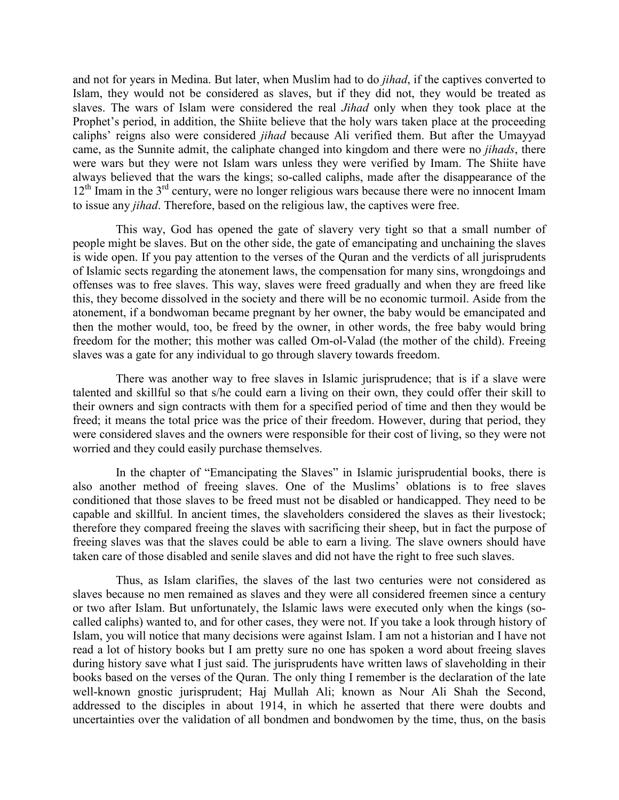and not for years in Medina. But later, when Muslim had to do *jihad*, if the captives converted to Islam, they would not be considered as slaves, but if they did not, they would be treated as slaves. The wars of Islam were considered the real *Jihad* only when they took place at the Prophet's period, in addition, the Shiite believe that the holy wars taken place at the proceeding caliphs' reigns also were considered *jihad* because Ali verified them. But after the Umayyad came, as the Sunnite admit, the caliphate changed into kingdom and there were no *jihads*, there were wars but they were not Islam wars unless they were verified by Imam. The Shiite have always believed that the wars the kings; so-called caliphs, made after the disappearance of the  $12<sup>th</sup>$  Imam in the  $3<sup>rd</sup>$  century, were no longer religious wars because there were no innocent Imam to issue any *jihad*. Therefore, based on the religious law, the captives were free.

This way, God has opened the gate of slavery very tight so that a small number of people might be slaves. But on the other side, the gate of emancipating and unchaining the slaves is wide open. If you pay attention to the verses of the Quran and the verdicts of all jurisprudents of Islamic sects regarding the atonement laws, the compensation for many sins, wrongdoings and offenses was to free slaves. This way, slaves were freed gradually and when they are freed like this, they become dissolved in the society and there will be no economic turmoil. Aside from the atonement, if a bondwoman became pregnant by her owner, the baby would be emancipated and then the mother would, too, be freed by the owner, in other words, the free baby would bring freedom for the mother; this mother was called Om-ol-Valad (the mother of the child). Freeing slaves was a gate for any individual to go through slavery towards freedom.

There was another way to free slaves in Islamic jurisprudence; that is if a slave were talented and skillful so that s/he could earn a living on their own, they could offer their skill to their owners and sign contracts with them for a specified period of time and then they would be freed; it means the total price was the price of their freedom. However, during that period, they were considered slaves and the owners were responsible for their cost of living, so they were not worried and they could easily purchase themselves.

In the chapter of "Emancipating the Slaves" in Islamic jurisprudential books, there is also another method of freeing slaves. One of the Muslims' oblations is to free slaves conditioned that those slaves to be freed must not be disabled or handicapped. They need to be capable and skillful. In ancient times, the slaveholders considered the slaves as their livestock; therefore they compared freeing the slaves with sacrificing their sheep, but in fact the purpose of freeing slaves was that the slaves could be able to earn a living. The slave owners should have taken care of those disabled and senile slaves and did not have the right to free such slaves.

Thus, as Islam clarifies, the slaves of the last two centuries were not considered as slaves because no men remained as slaves and they were all considered freemen since a century or two after Islam. But unfortunately, the Islamic laws were executed only when the kings (socalled caliphs) wanted to, and for other cases, they were not. If you take a look through history of Islam, you will notice that many decisions were against Islam. I am not a historian and I have not read a lot of history books but I am pretty sure no one has spoken a word about freeing slaves during history save what I just said. The jurisprudents have written laws of slaveholding in their books based on the verses of the Quran. The only thing I remember is the declaration of the late well-known gnostic jurisprudent; Haj Mullah Ali; known as Nour Ali Shah the Second, addressed to the disciples in about 1914, in which he asserted that there were doubts and uncertainties over the validation of all bondmen and bondwomen by the time, thus, on the basis